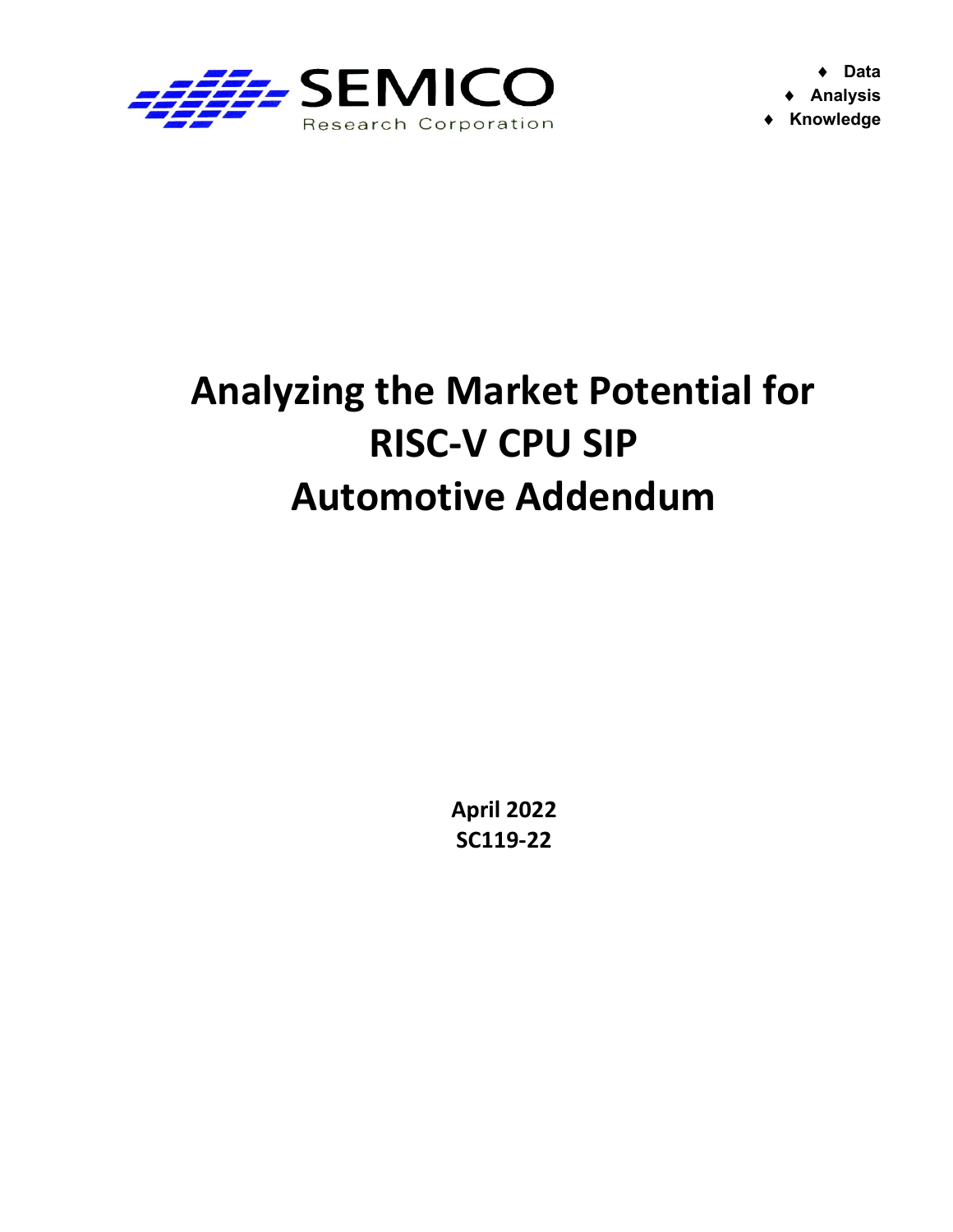

 Data Analysis ◆ Knowledge

## Analyzing the Market Potential for RISC-V CPU SIP Automotive Addendum

April 2022 SC119-22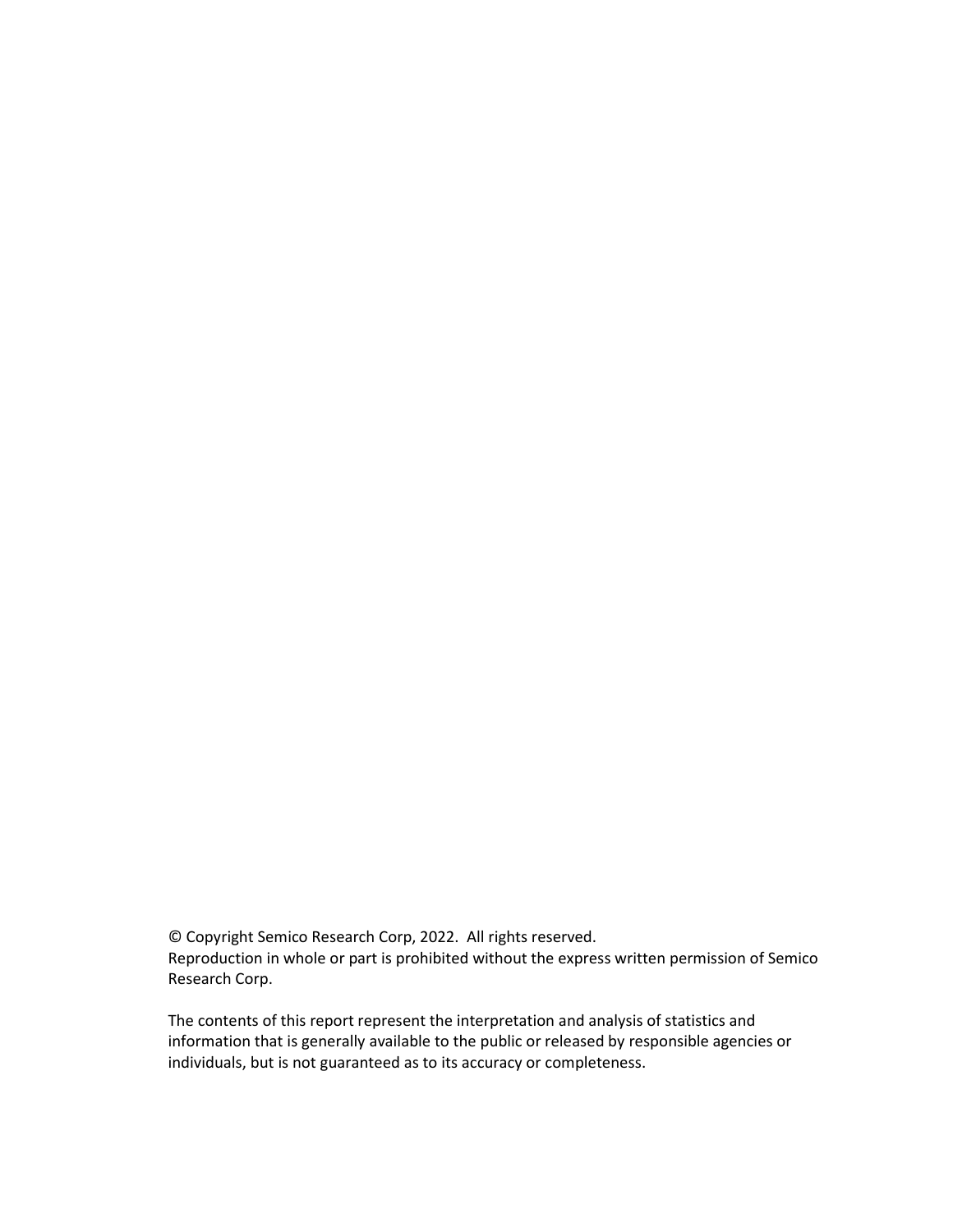© Copyright Semico Research Corp, 2022. All rights reserved. Reproduction in whole or part is prohibited without the express written permission of Semico Research Corp.

The contents of this report represent the interpretation and analysis of statistics and information that is generally available to the public or released by responsible agencies or individuals, but is not guaranteed as to its accuracy or completeness.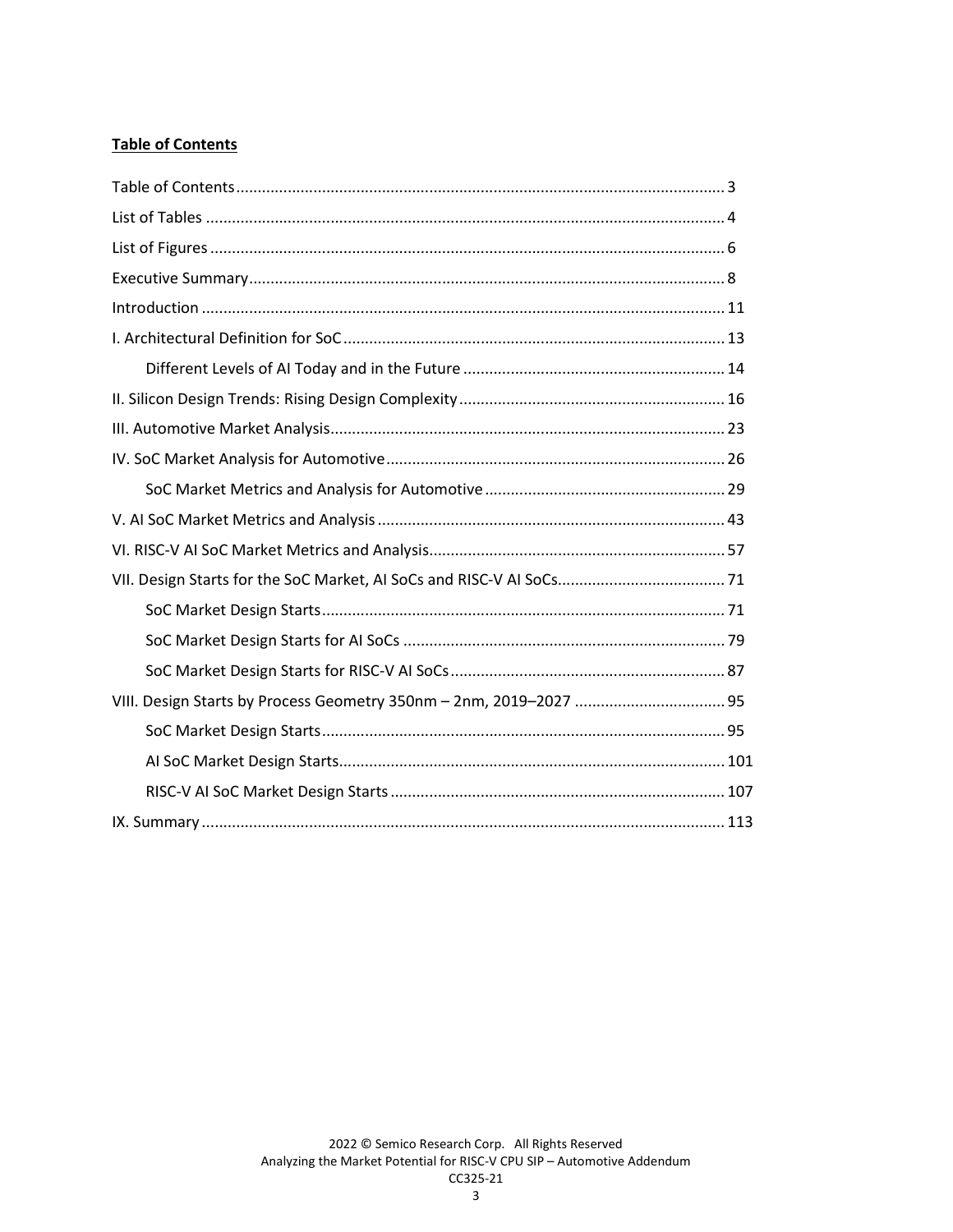## **Table of Contents**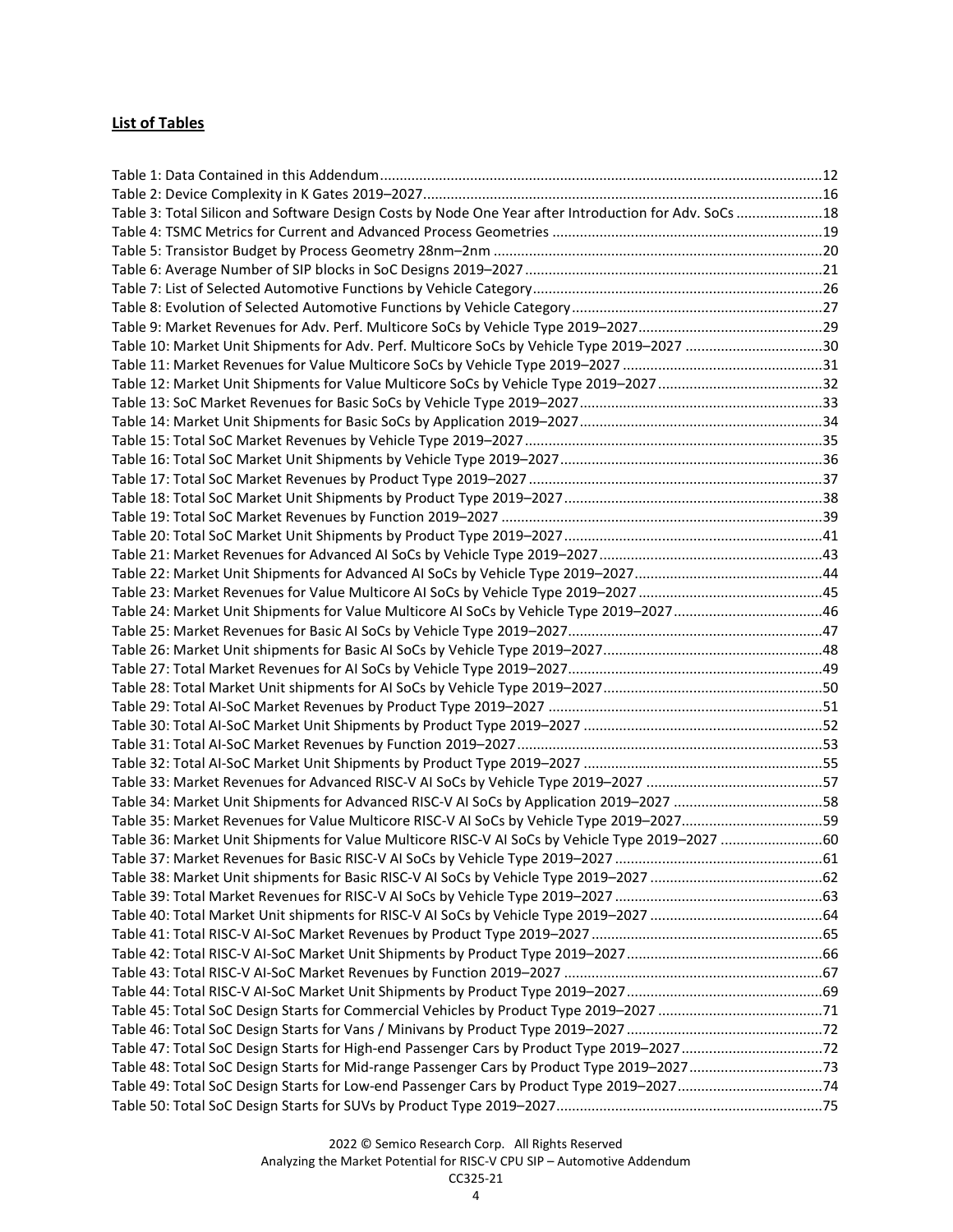## List of Tables

| Table 3: Total Silicon and Software Design Costs by Node One Year after Introduction for Adv. SoCs 18 |  |
|-------------------------------------------------------------------------------------------------------|--|
|                                                                                                       |  |
|                                                                                                       |  |
|                                                                                                       |  |
|                                                                                                       |  |
|                                                                                                       |  |
|                                                                                                       |  |
| Table 10: Market Unit Shipments for Adv. Perf. Multicore SoCs by Vehicle Type 2019-2027 30            |  |
|                                                                                                       |  |
|                                                                                                       |  |
|                                                                                                       |  |
|                                                                                                       |  |
|                                                                                                       |  |
|                                                                                                       |  |
|                                                                                                       |  |
|                                                                                                       |  |
|                                                                                                       |  |
|                                                                                                       |  |
|                                                                                                       |  |
|                                                                                                       |  |
|                                                                                                       |  |
| Table 24: Market Unit Shipments for Value Multicore AI SoCs by Vehicle Type 2019-2027 46              |  |
|                                                                                                       |  |
|                                                                                                       |  |
|                                                                                                       |  |
|                                                                                                       |  |
|                                                                                                       |  |
|                                                                                                       |  |
|                                                                                                       |  |
|                                                                                                       |  |
|                                                                                                       |  |
| Table 34: Market Unit Shipments for Advanced RISC-V AI SoCs by Application 2019-2027 58               |  |
| Table 35: Market Revenues for Value Multicore RISC-V AI SoCs by Vehicle Type 2019-202759              |  |
| Table 36: Market Unit Shipments for Value Multicore RISC-V AI SoCs by Vehicle Type 2019-2027 60       |  |
|                                                                                                       |  |
|                                                                                                       |  |
|                                                                                                       |  |
|                                                                                                       |  |
|                                                                                                       |  |
|                                                                                                       |  |
|                                                                                                       |  |
|                                                                                                       |  |
|                                                                                                       |  |
|                                                                                                       |  |
|                                                                                                       |  |
| Table 48: Total SoC Design Starts for Mid-range Passenger Cars by Product Type 2019-202773            |  |
|                                                                                                       |  |
|                                                                                                       |  |
|                                                                                                       |  |

Analyzing the Market Potential for RISC-V CPU SIP – Automotive Addendum CC325-21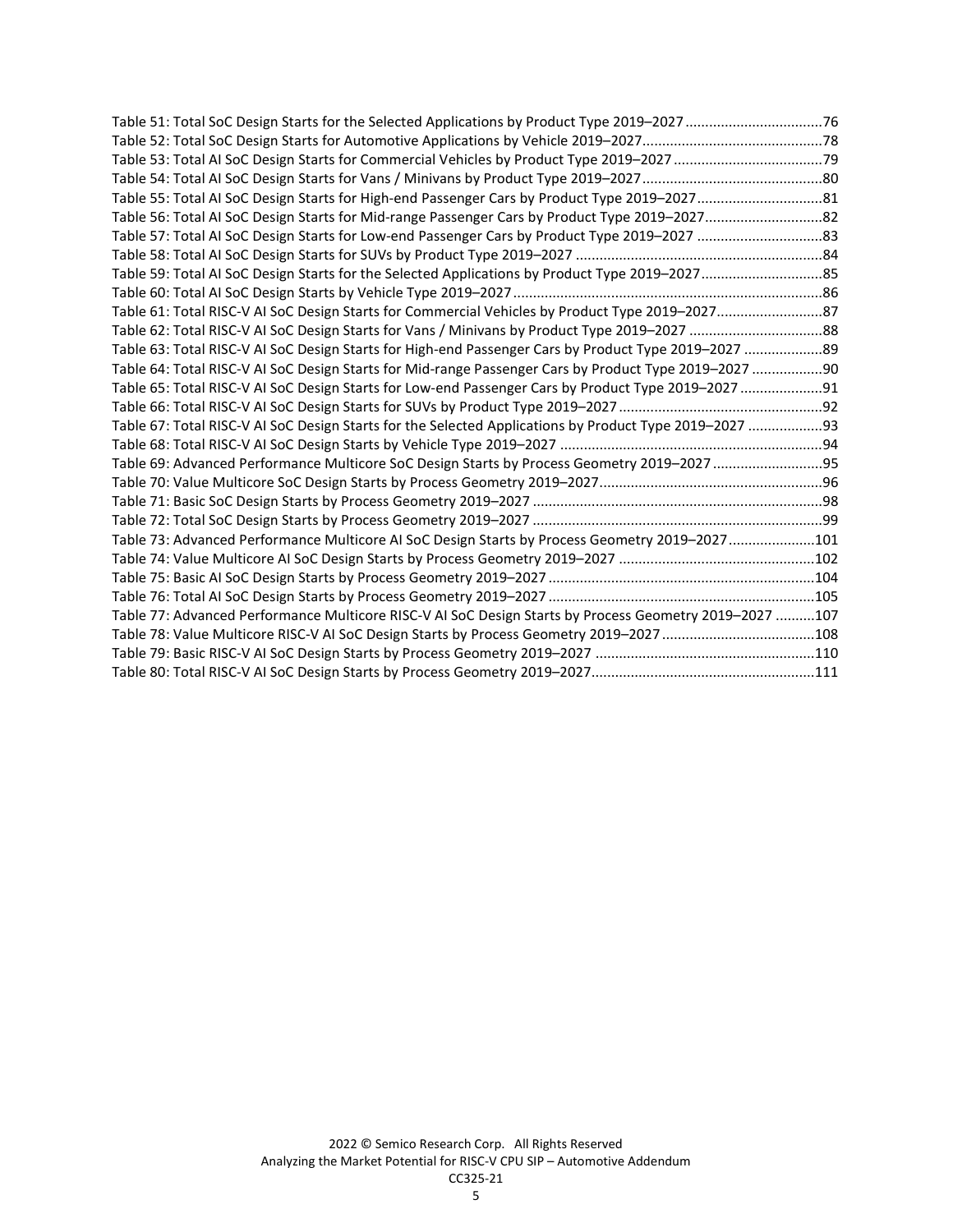| Table 57: Total AI SoC Design Starts for Low-end Passenger Cars by Product Type 2019-2027 83            |  |
|---------------------------------------------------------------------------------------------------------|--|
|                                                                                                         |  |
|                                                                                                         |  |
|                                                                                                         |  |
| Table 61: Total RISC-V AI SoC Design Starts for Commercial Vehicles by Product Type 2019-202787         |  |
| Table 62: Total RISC-V AI SoC Design Starts for Vans / Minivans by Product Type 2019-2027 88            |  |
| Table 63: Total RISC-V AI SoC Design Starts for High-end Passenger Cars by Product Type 2019-2027 89    |  |
| Table 64: Total RISC-V AI SoC Design Starts for Mid-range Passenger Cars by Product Type 2019-2027 90   |  |
| Table 65: Total RISC-V AI SoC Design Starts for Low-end Passenger Cars by Product Type 2019-2027 91     |  |
|                                                                                                         |  |
| Table 67: Total RISC-V AI SoC Design Starts for the Selected Applications by Product Type 2019-2027  93 |  |
|                                                                                                         |  |
| Table 69: Advanced Performance Multicore SoC Design Starts by Process Geometry 2019-2027 95             |  |
|                                                                                                         |  |
|                                                                                                         |  |
|                                                                                                         |  |
| Table 73: Advanced Performance Multicore AI SoC Design Starts by Process Geometry 2019-2027101          |  |
|                                                                                                         |  |
|                                                                                                         |  |
|                                                                                                         |  |
| Table 77: Advanced Performance Multicore RISC-V AI SoC Design Starts by Process Geometry 2019-2027 107  |  |
|                                                                                                         |  |
|                                                                                                         |  |
|                                                                                                         |  |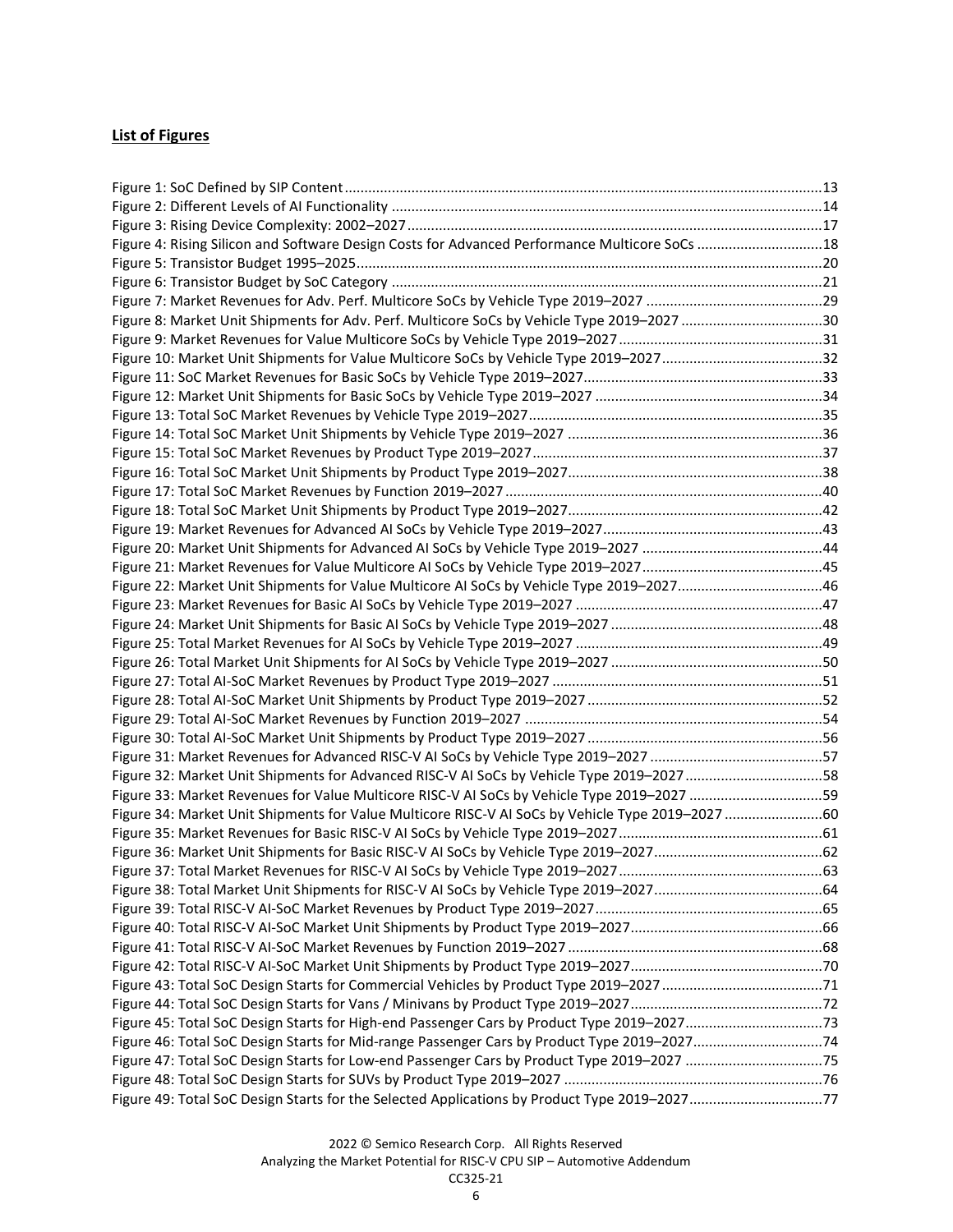## List of Figures

| Figure 4: Rising Silicon and Software Design Costs for Advanced Performance Multicore SoCs  18   |  |
|--------------------------------------------------------------------------------------------------|--|
|                                                                                                  |  |
|                                                                                                  |  |
|                                                                                                  |  |
| Figure 8: Market Unit Shipments for Adv. Perf. Multicore SoCs by Vehicle Type 2019-2027 30       |  |
|                                                                                                  |  |
|                                                                                                  |  |
|                                                                                                  |  |
|                                                                                                  |  |
|                                                                                                  |  |
|                                                                                                  |  |
|                                                                                                  |  |
|                                                                                                  |  |
|                                                                                                  |  |
|                                                                                                  |  |
|                                                                                                  |  |
|                                                                                                  |  |
|                                                                                                  |  |
| Figure 22: Market Unit Shipments for Value Multicore AI SoCs by Vehicle Type 2019-202746         |  |
|                                                                                                  |  |
|                                                                                                  |  |
|                                                                                                  |  |
|                                                                                                  |  |
|                                                                                                  |  |
|                                                                                                  |  |
|                                                                                                  |  |
|                                                                                                  |  |
|                                                                                                  |  |
| Figure 32: Market Unit Shipments for Advanced RISC-V AI SoCs by Vehicle Type 2019-2027 58        |  |
| Figure 33: Market Revenues for Value Multicore RISC-V AI SoCs by Vehicle Type 2019-2027 59       |  |
| Figure 34: Market Unit Shipments for Value Multicore RISC-V AI SoCs by Vehicle Type 2019-2027 60 |  |
|                                                                                                  |  |
|                                                                                                  |  |
|                                                                                                  |  |
|                                                                                                  |  |
|                                                                                                  |  |
|                                                                                                  |  |
|                                                                                                  |  |
|                                                                                                  |  |
|                                                                                                  |  |
|                                                                                                  |  |
|                                                                                                  |  |
| Figure 45: Total SoC Design Starts for High-end Passenger Cars by Product Type 2019-202773       |  |
|                                                                                                  |  |
|                                                                                                  |  |
|                                                                                                  |  |
| Figure 49: Total SoC Design Starts for the Selected Applications by Product Type 2019-202777     |  |

Analyzing the Market Potential for RISC-V CPU SIP – Automotive Addendum CC325-21